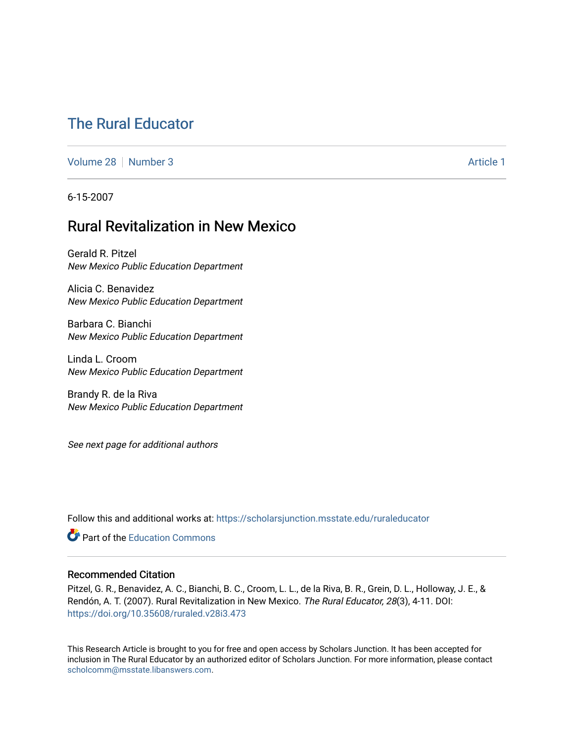# [The Rural Educator](https://scholarsjunction.msstate.edu/ruraleducator)

[Volume 28](https://scholarsjunction.msstate.edu/ruraleducator/vol28) [Number 3](https://scholarsjunction.msstate.edu/ruraleducator/vol28/iss3) Article 1

6-15-2007

## Rural Revitalization in New Mexico

Gerald R. Pitzel New Mexico Public Education Department

Alicia C. Benavidez New Mexico Public Education Department

Barbara C. Bianchi New Mexico Public Education Department

Linda L. Croom New Mexico Public Education Department

Brandy R. de la Riva New Mexico Public Education Department

See next page for additional authors

Follow this and additional works at: [https://scholarsjunction.msstate.edu/ruraleducator](https://scholarsjunction.msstate.edu/ruraleducator?utm_source=scholarsjunction.msstate.edu%2Fruraleducator%2Fvol28%2Fiss3%2F1&utm_medium=PDF&utm_campaign=PDFCoverPages)

**C** Part of the [Education Commons](http://network.bepress.com/hgg/discipline/784?utm_source=scholarsjunction.msstate.edu%2Fruraleducator%2Fvol28%2Fiss3%2F1&utm_medium=PDF&utm_campaign=PDFCoverPages)

#### Recommended Citation

Pitzel, G. R., Benavidez, A. C., Bianchi, B. C., Croom, L. L., de la Riva, B. R., Grein, D. L., Holloway, J. E., & Rendón, A. T. (2007). Rural Revitalization in New Mexico. The Rural Educator, 28(3), 4-11. DOI: <https://doi.org/10.35608/ruraled.v28i3.473>

This Research Article is brought to you for free and open access by Scholars Junction. It has been accepted for inclusion in The Rural Educator by an authorized editor of Scholars Junction. For more information, please contact [scholcomm@msstate.libanswers.com.](mailto:scholcomm@msstate.libanswers.com)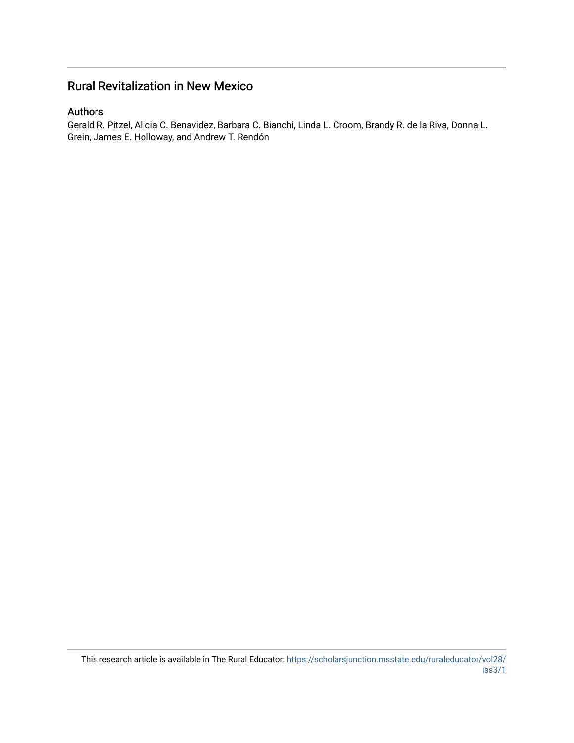### Rural Revitalization in New Mexico

#### Authors

Gerald R. Pitzel, Alicia C. Benavidez, Barbara C. Bianchi, Linda L. Croom, Brandy R. de la Riva, Donna L. Grein, James E. Holloway, and Andrew T. Rendón

This research article is available in The Rural Educator: [https://scholarsjunction.msstate.edu/ruraleducator/vol28/](https://scholarsjunction.msstate.edu/ruraleducator/vol28/iss3/1) [iss3/1](https://scholarsjunction.msstate.edu/ruraleducator/vol28/iss3/1)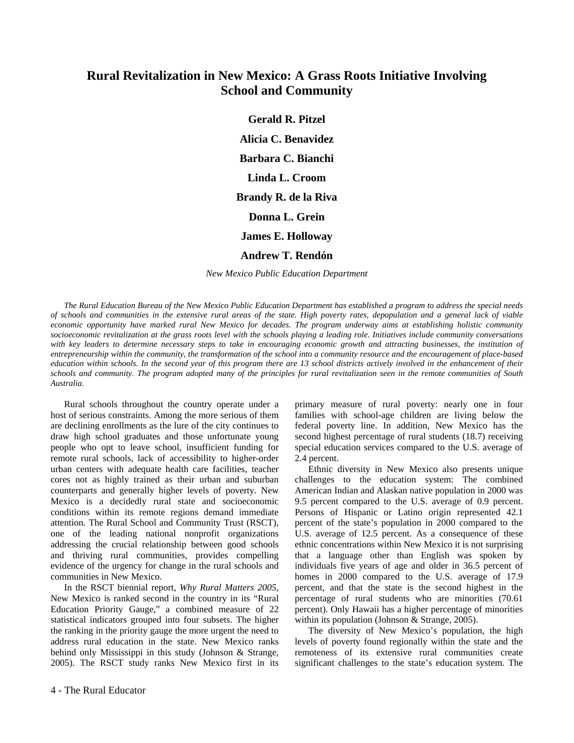### **Rural Revitalization in New Mexico: A Grass Roots Initiative Involving School and Community**

**Gerald R. Pitzel Alicia C. Benavidez Barbara C. Bianchi Linda L. Croom Brandy R. de la Riva Donna L. Grein James E. Holloway Andrew T. Rendón**

*New Mexico Public Education Department* 

*The Rural Education Bureau of the New Mexico Public Education Department has established a program to address the special needs of schools and communities in the extensive rural areas of the state. High poverty rates, depopulation and a general lack of viable economic opportunity have marked rural New Mexico for decades. The program underway aims at establishing holistic community socioeconomic revitalization at the grass roots level with the schools playing a leading role. Initiatives include community conversations*  with key leaders to determine necessary steps to take in encouraging economic growth and attracting businesses, the institution of *entrepreneurship within the community, the transformation of the school into a community resource and the encouragement of place-based education within schools. In the second year of this program there are 13 school districts actively involved in the enhancement of their schools and community. The program adopted many of the principles for rural revitalization seen in the remote communities of South Australia.* 

Rural schools throughout the country operate under a host of serious constraints. Among the more serious of them are declining enrollments as the lure of the city continues to draw high school graduates and those unfortunate young people who opt to leave school, insufficient funding for remote rural schools, lack of accessibility to higher-order urban centers with adequate health care facilities, teacher cores not as highly trained as their urban and suburban counterparts and generally higher levels of poverty. New Mexico is a decidedly rural state and socioeconomic conditions within its remote regions demand immediate attention. The Rural School and Community Trust (RSCT), one of the leading national nonprofit organizations addressing the crucial relationship between good schools and thriving rural communities, provides compelling evidence of the urgency for change in the rural schools and communities in New Mexico.

In the RSCT biennial report, *Why Rural Matters 2005*, New Mexico is ranked second in the country in its "Rural Education Priority Gauge," a combined measure of 22 statistical indicators grouped into four subsets. The higher the ranking in the priority gauge the more urgent the need to address rural education in the state. New Mexico ranks behind only Mississippi in this study (Johnson & Strange, 2005). The RSCT study ranks New Mexico first in its

primary measure of rural poverty: nearly one in four families with school-age children are living below the federal poverty line. In addition, New Mexico has the second highest percentage of rural students (18.7) receiving special education services compared to the U.S. average of 2.4 percent.

Ethnic diversity in New Mexico also presents unique challenges to the education system: The combined American Indian and Alaskan native population in 2000 was 9.5 percent compared to the U.S. average of 0.9 percent. Persons of Hispanic or Latino origin represented 42.1 percent of the state's population in 2000 compared to the U.S. average of 12.5 percent. As a consequence of these ethnic concentrations within New Mexico it is not surprising that a language other than English was spoken by individuals five years of age and older in 36.5 percent of homes in 2000 compared to the U.S. average of 17.9 percent, and that the state is the second highest in the percentage of rural students who are minorities (70.61 percent). Only Hawaii has a higher percentage of minorities within its population (Johnson & Strange, 2005).

The diversity of New Mexico's population, the high levels of poverty found regionally within the state and the remoteness of its extensive rural communities create significant challenges to the state's education system. The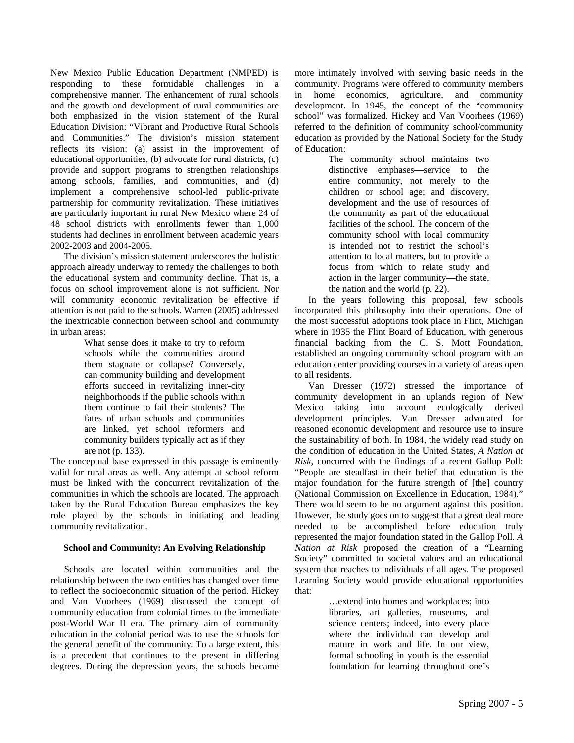New Mexico Public Education Department (NMPED) is responding to these formidable challenges in a comprehensive manner. The enhancement of rural schools and the growth and development of rural communities are both emphasized in the vision statement of the Rural Education Division: "Vibrant and Productive Rural Schools and Communities." The division's mission statement reflects its vision: (a) assist in the improvement of educational opportunities, (b) advocate for rural districts, (c) provide and support programs to strengthen relationships among schools, families, and communities, and (d) implement a comprehensive school-led public-private partnership for community revitalization. These initiatives are particularly important in rural New Mexico where 24 of 48 school districts with enrollments fewer than 1,000 students had declines in enrollment between academic years 2002-2003 and 2004-2005.

The division's mission statement underscores the holistic approach already underway to remedy the challenges to both the educational system and community decline. That is, a focus on school improvement alone is not sufficient. Nor will community economic revitalization be effective if attention is not paid to the schools. Warren (2005) addressed the inextricable connection between school and community in urban areas:

> What sense does it make to try to reform schools while the communities around them stagnate or collapse? Conversely, can community building and development efforts succeed in revitalizing inner-city neighborhoods if the public schools within them continue to fail their students? The fates of urban schools and communities are linked, yet school reformers and community builders typically act as if they are not (p. 133).

The conceptual base expressed in this passage is eminently valid for rural areas as well. Any attempt at school reform must be linked with the concurrent revitalization of the communities in which the schools are located. The approach taken by the Rural Education Bureau emphasizes the key role played by the schools in initiating and leading community revitalization.

#### **School and Community: An Evolving Relationship**

Schools are located within communities and the relationship between the two entities has changed over time to reflect the socioeconomic situation of the period. Hickey and Van Voorhees (1969) discussed the concept of community education from colonial times to the immediate post-World War II era. The primary aim of community education in the colonial period was to use the schools for the general benefit of the community. To a large extent, this is a precedent that continues to the present in differing degrees. During the depression years, the schools became more intimately involved with serving basic needs in the community. Programs were offered to community members in home economics, agriculture, and community development. In 1945, the concept of the "community school" was formalized. Hickey and Van Voorhees (1969) referred to the definition of community school/community education as provided by the National Society for the Study of Education:

The community school maintains two distinctive emphases—service to the entire community, not merely to the children or school age; and discovery, development and the use of resources of the community as part of the educational facilities of the school. The concern of the community school with local community is intended not to restrict the school's attention to local matters, but to provide a focus from which to relate study and action in the larger community—the state, the nation and the world (p. 22).

In the years following this proposal, few schools incorporated this philosophy into their operations. One of the most successful adoptions took place in Flint, Michigan where in 1935 the Flint Board of Education, with generous financial backing from the C. S. Mott Foundation, established an ongoing community school program with an education center providing courses in a variety of areas open to all residents.

Van Dresser (1972) stressed the importance of community development in an uplands region of New Mexico taking into account ecologically derived development principles. Van Dresser advocated for reasoned economic development and resource use to insure the sustainability of both. In 1984, the widely read study on the condition of education in the United States, *A Nation at Risk*, concurred with the findings of a recent Gallup Poll: "People are steadfast in their belief that education is the major foundation for the future strength of [the] country (National Commission on Excellence in Education, 1984)." There would seem to be no argument against this position. However, the study goes on to suggest that a great deal more needed to be accomplished before education truly represented the major foundation stated in the Gallop Poll. *A Nation at Risk* proposed the creation of a "Learning Society" committed to societal values and an educational system that reaches to individuals of all ages. The proposed Learning Society would provide educational opportunities that:

> …extend into homes and workplaces; into libraries, art galleries, museums, and science centers; indeed, into every place where the individual can develop and mature in work and life. In our view, formal schooling in youth is the essential foundation for learning throughout one's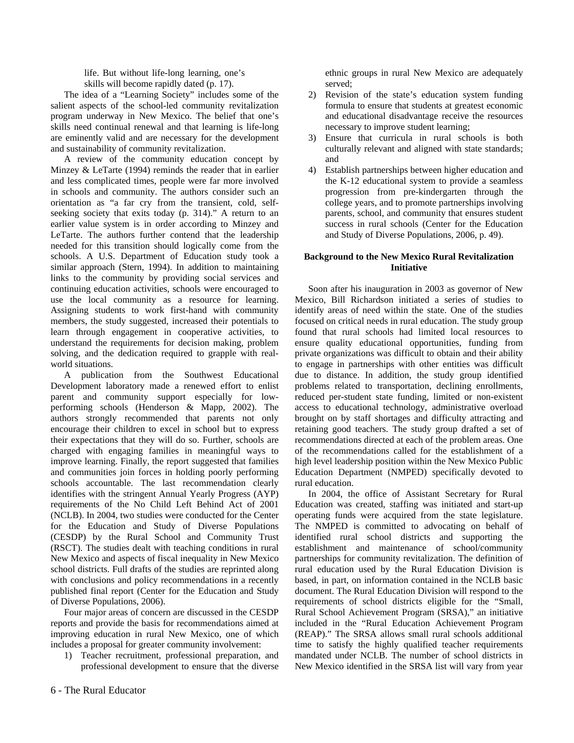life. But without life-long learning, one's

skills will become rapidly dated (p. 17).

The idea of a "Learning Society" includes some of the salient aspects of the school-led community revitalization program underway in New Mexico. The belief that one's skills need continual renewal and that learning is life-long are eminently valid and are necessary for the development and sustainability of community revitalization.

A review of the community education concept by Minzey & LeTarte (1994) reminds the reader that in earlier and less complicated times, people were far more involved in schools and community. The authors consider such an orientation as "a far cry from the transient, cold, selfseeking society that exits today (p. 314)." A return to an earlier value system is in order according to Minzey and LeTarte. The authors further contend that the leadership needed for this transition should logically come from the schools. A U.S. Department of Education study took a similar approach (Stern, 1994). In addition to maintaining links to the community by providing social services and continuing education activities, schools were encouraged to use the local community as a resource for learning. Assigning students to work first-hand with community members, the study suggested, increased their potentials to learn through engagement in cooperative activities, to understand the requirements for decision making, problem solving, and the dedication required to grapple with realworld situations.

A publication from the Southwest Educational Development laboratory made a renewed effort to enlist parent and community support especially for lowperforming schools (Henderson & Mapp, 2002). The authors strongly recommended that parents not only encourage their children to excel in school but to express their expectations that they will do so. Further, schools are charged with engaging families in meaningful ways to improve learning. Finally, the report suggested that families and communities join forces in holding poorly performing schools accountable. The last recommendation clearly identifies with the stringent Annual Yearly Progress (AYP) requirements of the No Child Left Behind Act of 2001 (NCLB). In 2004, two studies were conducted for the Center for the Education and Study of Diverse Populations (CESDP) by the Rural School and Community Trust (RSCT). The studies dealt with teaching conditions in rural New Mexico and aspects of fiscal inequality in New Mexico school districts. Full drafts of the studies are reprinted along with conclusions and policy recommendations in a recently published final report (Center for the Education and Study of Diverse Populations, 2006).

Four major areas of concern are discussed in the CESDP reports and provide the basis for recommendations aimed at improving education in rural New Mexico, one of which includes a proposal for greater community involvement:

1) Teacher recruitment, professional preparation, and professional development to ensure that the diverse ethnic groups in rural New Mexico are adequately served;

- 2) Revision of the state's education system funding formula to ensure that students at greatest economic and educational disadvantage receive the resources necessary to improve student learning;
- 3) Ensure that curricula in rural schools is both culturally relevant and aligned with state standards; and
- 4) Establish partnerships between higher education and the K-12 educational system to provide a seamless progression from pre-kindergarten through the college years, and to promote partnerships involving parents, school, and community that ensures student success in rural schools (Center for the Education and Study of Diverse Populations, 2006, p. 49).

#### **Background to the New Mexico Rural Revitalization Initiative**

Soon after his inauguration in 2003 as governor of New Mexico, Bill Richardson initiated a series of studies to identify areas of need within the state. One of the studies focused on critical needs in rural education. The study group found that rural schools had limited local resources to ensure quality educational opportunities, funding from private organizations was difficult to obtain and their ability to engage in partnerships with other entities was difficult due to distance. In addition, the study group identified problems related to transportation, declining enrollments, reduced per-student state funding, limited or non-existent access to educational technology, administrative overload brought on by staff shortages and difficulty attracting and retaining good teachers. The study group drafted a set of recommendations directed at each of the problem areas. One of the recommendations called for the establishment of a high level leadership position within the New Mexico Public Education Department (NMPED) specifically devoted to rural education.

In 2004, the office of Assistant Secretary for Rural Education was created, staffing was initiated and start-up operating funds were acquired from the state legislature. The NMPED is committed to advocating on behalf of identified rural school districts and supporting the establishment and maintenance of school/community partnerships for community revitalization. The definition of rural education used by the Rural Education Division is based, in part, on information contained in the NCLB basic document. The Rural Education Division will respond to the requirements of school districts eligible for the "Small, Rural School Achievement Program (SRSA)," an initiative included in the "Rural Education Achievement Program (REAP)." The SRSA allows small rural schools additional time to satisfy the highly qualified teacher requirements mandated under NCLB. The number of school districts in New Mexico identified in the SRSA list will vary from year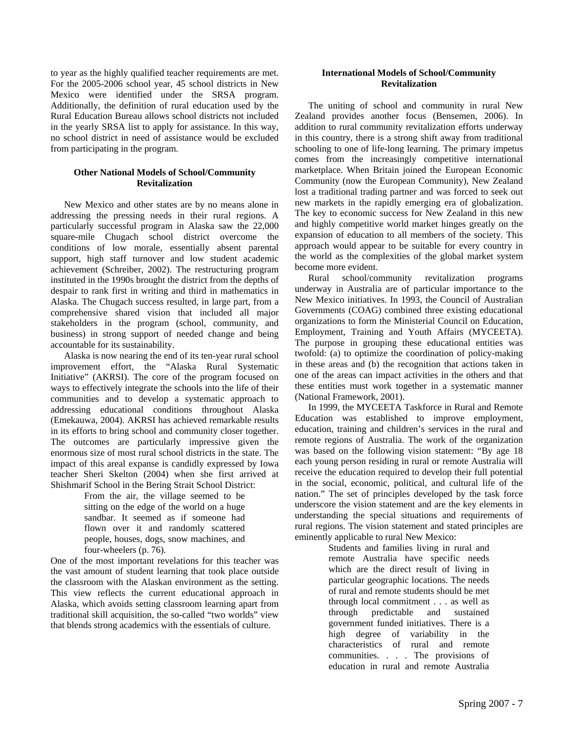to year as the highly qualified teacher requirements are met. For the 2005-2006 school year, 45 school districts in New Mexico were identified under the SRSA program. Additionally, the definition of rural education used by the Rural Education Bureau allows school districts not included in the yearly SRSA list to apply for assistance. In this way, no school district in need of assistance would be excluded from participating in the program.

#### **Other National Models of School/Community Revitalization**

New Mexico and other states are by no means alone in addressing the pressing needs in their rural regions. A particularly successful program in Alaska saw the 22,000 square-mile Chugach school district overcome the conditions of low morale, essentially absent parental support, high staff turnover and low student academic achievement (Schreiber, 2002). The restructuring program instituted in the 1990s brought the district from the depths of despair to rank first in writing and third in mathematics in Alaska. The Chugach success resulted, in large part, from a comprehensive shared vision that included all major stakeholders in the program (school, community, and business) in strong support of needed change and being accountable for its sustainability.

Alaska is now nearing the end of its ten-year rural school improvement effort, the "Alaska Rural Systematic Initiative" (AKRSI). The core of the program focused on ways to effectively integrate the schools into the life of their communities and to develop a systematic approach to addressing educational conditions throughout Alaska (Emekauwa, 2004). AKRSI has achieved remarkable results in its efforts to bring school and community closer together. The outcomes are particularly impressive given the enormous size of most rural school districts in the state. The impact of this areal expanse is candidly expressed by Iowa teacher Sheri Skelton (2004) when she first arrived at Shishmarif School in the Bering Strait School District:

> From the air, the village seemed to be sitting on the edge of the world on a huge sandbar. It seemed as if someone had flown over it and randomly scattered people, houses, dogs, snow machines, and four-wheelers (p. 76).

One of the most important revelations for this teacher was the vast amount of student learning that took place outside the classroom with the Alaskan environment as the setting. This view reflects the current educational approach in Alaska, which avoids setting classroom learning apart from traditional skill acquisition, the so-called "two worlds" view that blends strong academics with the essentials of culture.

#### **International Models of School/Community Revitalization**

The uniting of school and community in rural New Zealand provides another focus (Bensemen, 2006). In addition to rural community revitalization efforts underway in this country, there is a strong shift away from traditional schooling to one of life-long learning. The primary impetus comes from the increasingly competitive international marketplace. When Britain joined the European Economic Community (now the European Community), New Zealand lost a traditional trading partner and was forced to seek out new markets in the rapidly emerging era of globalization. The key to economic success for New Zealand in this new and highly competitive world market hinges greatly on the expansion of education to all members of the society. This approach would appear to be suitable for every country in the world as the complexities of the global market system become more evident.

Rural school/community revitalization programs underway in Australia are of particular importance to the New Mexico initiatives. In 1993, the Council of Australian Governments (COAG) combined three existing educational organizations to form the Ministerial Council on Education, Employment, Training and Youth Affairs (MYCEETA). The purpose in grouping these educational entities was twofold: (a) to optimize the coordination of policy-making in these areas and (b) the recognition that actions taken in one of the areas can impact activities in the others and that these entities must work together in a systematic manner (National Framework, 2001).

In 1999, the MYCEETA Taskforce in Rural and Remote Education was established to improve employment, education, training and children's services in the rural and remote regions of Australia. The work of the organization was based on the following vision statement: "By age 18 each young person residing in rural or remote Australia will receive the education required to develop their full potential in the social, economic, political, and cultural life of the nation." The set of principles developed by the task force underscore the vision statement and are the key elements in understanding the special situations and requirements of rural regions. The vision statement and stated principles are eminently applicable to rural New Mexico:

> Students and families living in rural and remote Australia have specific needs which are the direct result of living in particular geographic locations. The needs of rural and remote students should be met through local commitment . . . as well as through predictable and sustained government funded initiatives. There is a high degree of variability in the characteristics of rural and remote communities. . . . The provisions of education in rural and remote Australia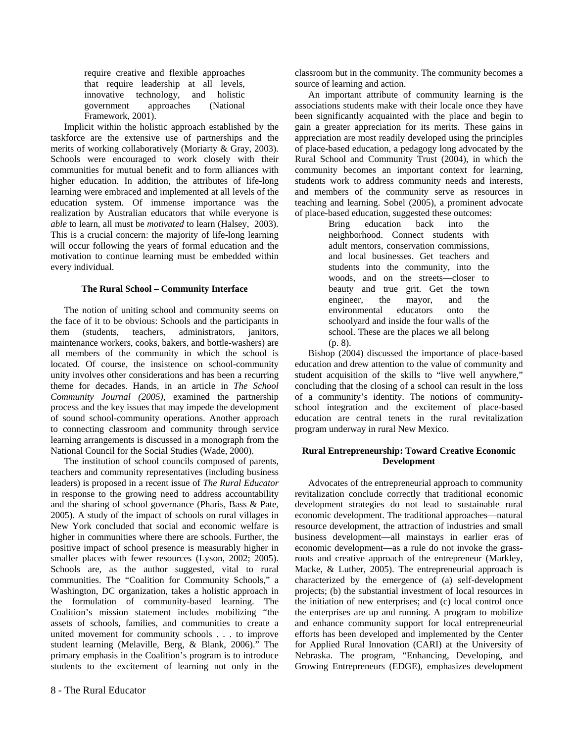require creative and flexible approaches that require leadership at all levels, innovative technology, and holistic government approaches (National Framework, 2001).

Implicit within the holistic approach established by the taskforce are the extensive use of partnerships and the merits of working collaboratively (Moriarty & Gray, 2003). Schools were encouraged to work closely with their communities for mutual benefit and to form alliances with higher education. In addition, the attributes of life-long learning were embraced and implemented at all levels of the education system. Of immense importance was the realization by Australian educators that while everyone is *able* to learn, all must be *motivated* to learn (Halsey, 2003). This is a crucial concern: the majority of life-long learning will occur following the years of formal education and the motivation to continue learning must be embedded within every individual.

#### **The Rural School – Community Interface**

The notion of uniting school and community seems on the face of it to be obvious: Schools and the participants in them (students, teachers, administrators, janitors, maintenance workers, cooks, bakers, and bottle-washers) are all members of the community in which the school is located. Of course, the insistence on school-community unity involves other considerations and has been a recurring theme for decades. Hands, in an article in *The School Community Journal (2005)*, examined the partnership process and the key issues that may impede the development of sound school-community operations. Another approach to connecting classroom and community through service learning arrangements is discussed in a monograph from the National Council for the Social Studies (Wade, 2000).

The institution of school councils composed of parents, teachers and community representatives (including business leaders) is proposed in a recent issue of *The Rural Educator*  in response to the growing need to address accountability and the sharing of school governance (Pharis, Bass & Pate, 2005). A study of the impact of schools on rural villages in New York concluded that social and economic welfare is higher in communities where there are schools. Further, the positive impact of school presence is measurably higher in smaller places with fewer resources (Lyson, 2002; 2005). Schools are, as the author suggested, vital to rural communities. The "Coalition for Community Schools," a Washington, DC organization, takes a holistic approach in the formulation of community-based learning. The Coalition's mission statement includes mobilizing "the assets of schools, families, and communities to create a united movement for community schools . . . to improve student learning (Melaville, Berg, & Blank, 2006)." The primary emphasis in the Coalition's program is to introduce students to the excitement of learning not only in the

classroom but in the community. The community becomes a source of learning and action.

An important attribute of community learning is the associations students make with their locale once they have been significantly acquainted with the place and begin to gain a greater appreciation for its merits. These gains in appreciation are most readily developed using the principles of place-based education, a pedagogy long advocated by the Rural School and Community Trust (2004), in which the community becomes an important context for learning, students work to address community needs and interests, and members of the community serve as resources in teaching and learning. Sobel (2005), a prominent advocate of place-based education, suggested these outcomes:

Bring education back into the neighborhood. Connect students with adult mentors, conservation commissions, and local businesses. Get teachers and students into the community, into the woods, and on the streets—closer to beauty and true grit. Get the town engineer, the mayor, and the environmental educators onto the schoolyard and inside the four walls of the school. These are the places we all belong (p. 8).

Bishop (2004) discussed the importance of place-based education and drew attention to the value of community and student acquisition of the skills to "live well anywhere," concluding that the closing of a school can result in the loss of a community's identity. The notions of communityschool integration and the excitement of place-based education are central tenets in the rural revitalization program underway in rural New Mexico.

#### **Rural Entrepreneurship: Toward Creative Economic Development**

Advocates of the entrepreneurial approach to community revitalization conclude correctly that traditional economic development strategies do not lead to sustainable rural economic development. The traditional approaches—natural resource development, the attraction of industries and small business development—all mainstays in earlier eras of economic development—as a rule do not invoke the grassroots and creative approach of the entrepreneur (Markley, Macke, & Luther, 2005). The entrepreneurial approach is characterized by the emergence of (a) self-development projects; (b) the substantial investment of local resources in the initiation of new enterprises; and (c) local control once the enterprises are up and running. A program to mobilize and enhance community support for local entrepreneurial efforts has been developed and implemented by the Center for Applied Rural Innovation (CARI) at the University of Nebraska. The program, "Enhancing, Developing, and Growing Entrepreneurs (EDGE), emphasizes development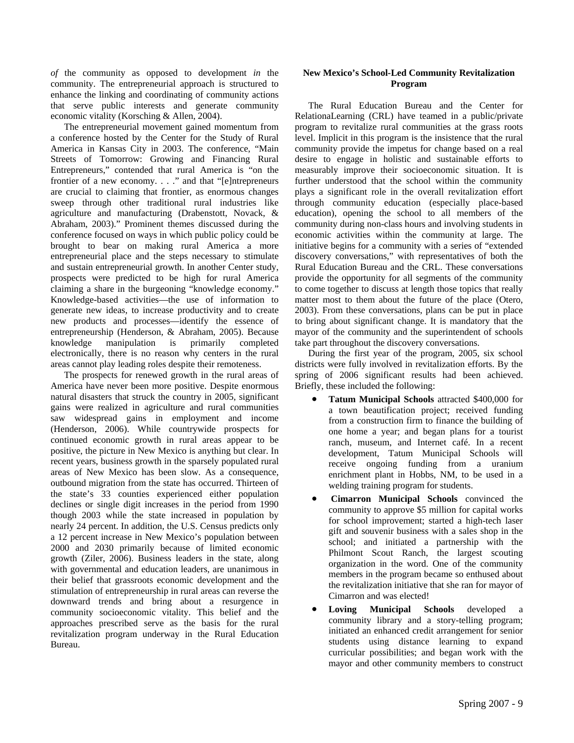*of* the community as opposed to development *in* the community. The entrepreneurial approach is structured to enhance the linking and coordinating of community actions that serve public interests and generate community economic vitality (Korsching & Allen, 2004).

The entrepreneurial movement gained momentum from a conference hosted by the Center for the Study of Rural America in Kansas City in 2003. The conference, "Main Streets of Tomorrow: Growing and Financing Rural Entrepreneurs," contended that rural America is "on the frontier of a new economy. . . ." and that "[e]ntrepreneurs are crucial to claiming that frontier, as enormous changes sweep through other traditional rural industries like agriculture and manufacturing (Drabenstott, Novack, & Abraham, 2003)." Prominent themes discussed during the conference focused on ways in which public policy could be brought to bear on making rural America a more entrepreneurial place and the steps necessary to stimulate and sustain entrepreneurial growth. In another Center study, prospects were predicted to be high for rural America claiming a share in the burgeoning "knowledge economy." Knowledge-based activities—the use of information to generate new ideas, to increase productivity and to create new products and processes—identify the essence of entrepreneurship (Henderson, & Abraham, 2005). Because knowledge manipulation is primarily completed electronically, there is no reason why centers in the rural areas cannot play leading roles despite their remoteness.

The prospects for renewed growth in the rural areas of America have never been more positive. Despite enormous natural disasters that struck the country in 2005, significant gains were realized in agriculture and rural communities saw widespread gains in employment and income (Henderson, 2006). While countrywide prospects for continued economic growth in rural areas appear to be positive, the picture in New Mexico is anything but clear. In recent years, business growth in the sparsely populated rural areas of New Mexico has been slow. As a consequence, outbound migration from the state has occurred. Thirteen of the state's 33 counties experienced either population declines or single digit increases in the period from 1990 though 2003 while the state increased in population by nearly 24 percent. In addition, the U.S. Census predicts only a 12 percent increase in New Mexico's population between 2000 and 2030 primarily because of limited economic growth (Ziler, 2006). Business leaders in the state, along with governmental and education leaders, are unanimous in their belief that grassroots economic development and the stimulation of entrepreneurship in rural areas can reverse the downward trends and bring about a resurgence in community socioeconomic vitality. This belief and the approaches prescribed serve as the basis for the rural revitalization program underway in the Rural Education Bureau.

#### **New Mexico's School-Led Community Revitalization Program**

The Rural Education Bureau and the Center for RelationaLearning (CRL) have teamed in a public/private program to revitalize rural communities at the grass roots level. Implicit in this program is the insistence that the rural community provide the impetus for change based on a real desire to engage in holistic and sustainable efforts to measurably improve their socioeconomic situation. It is further understood that the school within the community plays a significant role in the overall revitalization effort through community education (especially place-based education), opening the school to all members of the community during non-class hours and involving students in economic activities within the community at large. The initiative begins for a community with a series of "extended discovery conversations," with representatives of both the Rural Education Bureau and the CRL. These conversations provide the opportunity for all segments of the community to come together to discuss at length those topics that really matter most to them about the future of the place (Otero, 2003). From these conversations, plans can be put in place to bring about significant change. It is mandatory that the mayor of the community and the superintendent of schools take part throughout the discovery conversations.

During the first year of the program, 2005, six school districts were fully involved in revitalization efforts. By the spring of 2006 significant results had been achieved. Briefly, these included the following:

- **Tatum Municipal Schools** attracted \$400,000 for a town beautification project; received funding from a construction firm to finance the building of one home a year; and began plans for a tourist ranch, museum, and Internet café. In a recent development, Tatum Municipal Schools will receive ongoing funding from a uranium enrichment plant in Hobbs, NM, to be used in a welding training program for students.
- **Cimarron Municipal Schools** convinced the community to approve \$5 million for capital works for school improvement; started a high-tech laser gift and souvenir business with a sales shop in the school; and initiated a partnership with the Philmont Scout Ranch, the largest scouting organization in the word. One of the community members in the program became so enthused about the revitalization initiative that she ran for mayor of Cimarron and was elected!
- **Loving Municipal Schools** developed community library and a story-telling program; initiated an enhanced credit arrangement for senior students using distance learning to expand curricular possibilities; and began work with the mayor and other community members to construct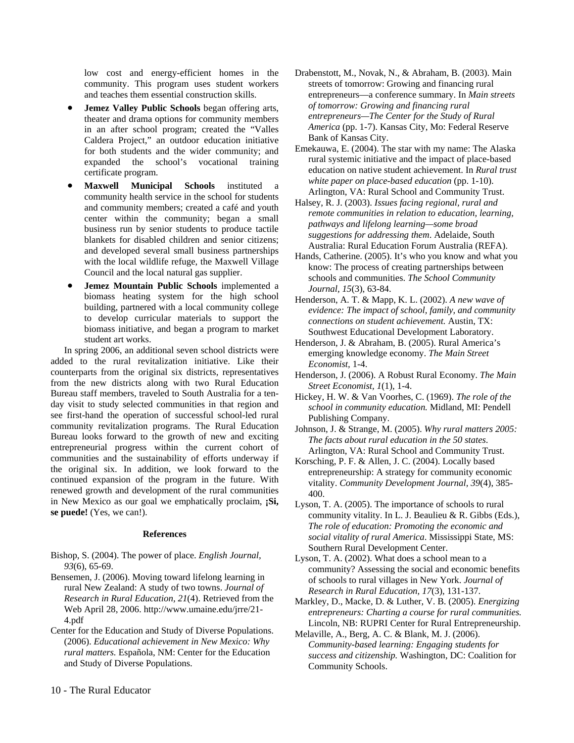low cost and energy-efficient homes in the community. This program uses student workers and teaches them essential construction skills.

- **Jemez Valley Public Schools** began offering arts, theater and drama options for community members in an after school program; created the "Valles Caldera Project," an outdoor education initiative for both students and the wider community; and expanded the school's vocational training certificate program.
- **Maxwell Municipal Schools** instituted a community health service in the school for students and community members; created a café and youth center within the community; began a small business run by senior students to produce tactile blankets for disabled children and senior citizens; and developed several small business partnerships with the local wildlife refuge, the Maxwell Village Council and the local natural gas supplier.
- **Jemez Mountain Public Schools** implemented a biomass heating system for the high school building, partnered with a local community college to develop curricular materials to support the biomass initiative, and began a program to market student art works.

In spring 2006, an additional seven school districts were added to the rural revitalization initiative. Like their counterparts from the original six districts, representatives from the new districts along with two Rural Education Bureau staff members, traveled to South Australia for a tenday visit to study selected communities in that region and see first-hand the operation of successful school-led rural community revitalization programs. The Rural Education Bureau looks forward to the growth of new and exciting entrepreneurial progress within the current cohort of communities and the sustainability of efforts underway if the original six. In addition, we look forward to the continued expansion of the program in the future. With renewed growth and development of the rural communities in New Mexico as our goal we emphatically proclaim, **;Si**, **se puede!** (Yes, we can!).

#### **References**

- Bishop, S. (2004). The power of place. *English Journal, 93*(6), 65-69.
- Bensemen, J. (2006). Moving toward lifelong learning in rural New Zealand: A study of two towns. *Journal of Research in Rural Education, 21*(4). Retrieved from the Web April 28, 2006. http://www.umaine.edu/jrre/21- 4.pdf
- Center for the Education and Study of Diverse Populations. (2006). *Educational achievement in New Mexico: Why rural matters.* Española, NM: Center for the Education and Study of Diverse Populations.

Drabenstott, M., Novak, N., & Abraham, B. (2003). Main streets of tomorrow: Growing and financing rural entrepreneurs—a conference summary. In *Main streets of tomorrow: Growing and financing rural entrepreneurs—The Center for the Study of Rural America* (pp. 1-7). Kansas City, Mo: Federal Reserve Bank of Kansas City.

Emekauwa, E. (2004). The star with my name: The Alaska rural systemic initiative and the impact of place-based education on native student achievement. In *Rural trust white paper on place-based education* (pp. 1-10). Arlington, VA: Rural School and Community Trust.

Halsey, R. J. (2003). *Issues facing regional, rural and remote communities in relation to education, learning, pathways and lifelong learning—some broad suggestions for addressing them*. Adelaide, South Australia: Rural Education Forum Australia (REFA).

- Hands, Catherine. (2005). It's who you know and what you know: The process of creating partnerships between schools and communities. *The School Community Journal, 15*(3), 63-84.
- Henderson, A. T. & Mapp, K. L. (2002). *A new wave of evidence: The impact of school, family, and community connections on student achievement.* Austin, TX: Southwest Educational Development Laboratory.
- Henderson, J. & Abraham, B. (2005). Rural America's emerging knowledge economy. *The Main Street Economist,* 1-4.
- Henderson, J. (2006). A Robust Rural Economy. *The Main Street Economist, 1*(1), 1-4.

Hickey, H. W. & Van Voorhes, C. (1969). *The role of the school in community education.* Midland, MI: Pendell Publishing Company.

Johnson, J. & Strange, M. (2005). *Why rural matters 2005: The facts about rural education in the 50 states*. Arlington, VA: Rural School and Community Trust.

- Korsching, P. F. & Allen, J. C. (2004). Locally based entrepreneurship: A strategy for community economic vitality. *Community Development Journal, 39*(4), 385- 400.
- Lyson, T. A. (2005). The importance of schools to rural community vitality. In L. J. Beaulieu & R. Gibbs (Eds.), *The role of education: Promoting the economic and social vitality of rural America*. Mississippi State, MS: Southern Rural Development Center.
- Lyson, T. A. (2002). What does a school mean to a community? Assessing the social and economic benefits of schools to rural villages in New York. *Journal of Research in Rural Education, 17*(3), 131-137.
- Markley, D., Macke, D. & Luther, V. B. (2005). *Energizing entrepreneurs: Charting a course for rural communities.* Lincoln, NB: RUPRI Center for Rural Entrepreneurship.
- Melaville, A., Berg, A. C. & Blank, M. J. (2006). *Community-based learning: Engaging students for success and citizenship.* Washington, DC: Coalition for Community Schools.